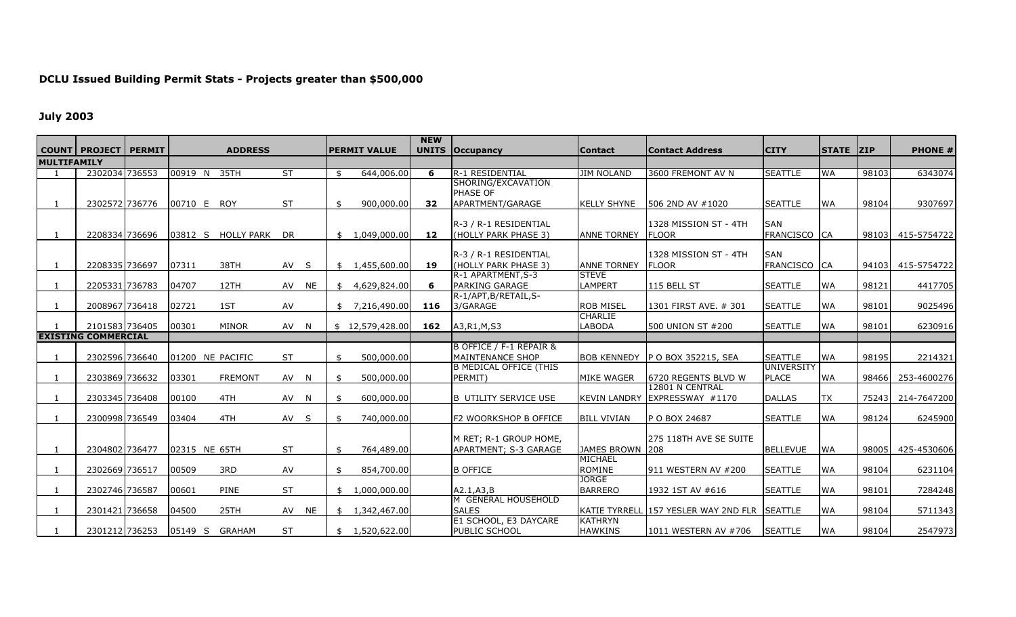## **DCLU Issued Buildin g Permit Stats - Projects greater than \$500,000**

## **July 2003**

|                    | <b>COUNT PROJECT</b>       | <b>PERMIT</b> |                  | <b>ADDRESS</b>        |           |           |     | <b>PERMIT VALUE</b> | <b>NEW</b> | <b>UNITS   Occupancy</b>                          | <b>Contact</b>      | <b>Contact Address</b>                       | <b>CITY</b>                         | <b>STATE ZIP</b> |       | <b>PHONE #</b> |
|--------------------|----------------------------|---------------|------------------|-----------------------|-----------|-----------|-----|---------------------|------------|---------------------------------------------------|---------------------|----------------------------------------------|-------------------------------------|------------------|-------|----------------|
| <b>MULTIFAMILY</b> |                            |               |                  |                       |           |           |     |                     |            |                                                   |                     |                                              |                                     |                  |       |                |
|                    | 2302034 736553             |               | 00919 N          | 35TH                  | <b>ST</b> |           | . ፍ | 644,006.00          | 6          | R-1 RESIDENTIAL                                   | <b>JIM NOLAND</b>   | 3600 FREMONT AV N                            | <b>SEATTLE</b>                      | <b>WA</b>        | 98103 | 6343074        |
|                    |                            |               |                  |                       |           |           |     |                     |            | SHORING/EXCAVATION                                |                     |                                              |                                     |                  |       |                |
|                    |                            |               |                  |                       |           |           |     |                     |            | PHASE OF                                          |                     |                                              |                                     |                  |       |                |
|                    | 2302572 736776             |               | 00710 E ROY      |                       | <b>ST</b> |           |     | 900,000.00          | 32         | APARTMENT/GARAGE                                  | <b>KELLY SHYNE</b>  | 506 2ND AV #1020                             | <b>SEATTLE</b>                      | <b>WA</b>        | 98104 | 9307697        |
|                    |                            |               |                  |                       |           |           |     |                     |            | R-3 / R-1 RESIDENTIAL                             |                     | 1328 MISSION ST - 4TH                        | <b>SAN</b>                          |                  |       |                |
|                    | 2208334 736696             |               |                  | 03812 S HOLLY PARK DR |           |           |     | \$1,049,000.00]     | 12         | (HOLLY PARK PHASE 3)                              | <b>ANNE TORNEY</b>  | <b>FLOOR</b>                                 | FRANCISCO CA                        |                  | 98103 | 415-5754722    |
|                    |                            |               |                  |                       |           |           |     |                     |            |                                                   |                     |                                              |                                     |                  |       |                |
|                    |                            |               |                  |                       |           |           |     |                     |            | R-3 / R-1 RESIDENTIAL                             |                     | 1328 MISSION ST - 4TH                        | <b>SAN</b>                          |                  |       |                |
|                    | 2208335 736697             |               | 07311            | 38TH                  | AV        | -S        | \$  | 1,455,600.00        | 19         | (HOLLY PARK PHASE 3)                              | <b>ANNE TORNEY</b>  | <b>FLOOR</b>                                 | FRANCISCO CA                        |                  | 94103 | 415-5754722    |
|                    |                            |               |                  |                       |           |           |     |                     |            | R-1 APARTMENT, S-3                                | <b>STEVE</b>        |                                              |                                     |                  |       |                |
|                    | 2205331 736783             |               | 04707            | 12TH                  | AV        | <b>NE</b> | \$  | 4,629,824.00        | 6          | PARKING GARAGE<br>R-1/APT, B/RETAIL, S-           | <b>LAMPERT</b>      | 115 BELL ST                                  | <b>SEATTLE</b>                      | <b>WA</b>        | 98121 | 4417705        |
|                    | 2008967 736418             |               | 02721            | 1ST                   | AV        |           | \$  | 7,216,490.00        | 116        | 3/GARAGE                                          | <b>ROB MISEL</b>    | 1301 FIRST AVE. # 301                        | <b>SEATTLE</b>                      | <b>WA</b>        | 98101 | 9025496        |
|                    |                            |               |                  |                       |           |           |     |                     |            |                                                   | <b>CHARLIE</b>      |                                              |                                     |                  |       |                |
|                    | 2101583 736405             |               | 00301            | <b>MINOR</b>          | AV N      |           |     | \$12,579,428.00     | 162        | A3, R1, M, S3                                     | LABODA              | 500 UNION ST #200                            | <b>SEATTLE</b>                      | <b>WA</b>        | 98101 | 6230916        |
|                    | <b>EXISTING COMMERCIAL</b> |               |                  |                       |           |           |     |                     |            |                                                   |                     |                                              |                                     |                  |       |                |
|                    |                            |               |                  |                       |           |           |     |                     |            | B OFFICE / F-1 REPAIR &                           |                     |                                              |                                     |                  |       |                |
|                    | 2302596 736640             |               | 01200 NE PACIFIC |                       | <b>ST</b> |           | \$  | 500,000.00          |            | MAINTENANCE SHOP<br><b>B MEDICAL OFFICE (THIS</b> |                     | BOB KENNEDY P O BOX 352215, SEA              | <b>SEATTLE</b><br><b>UNIVERSITY</b> | <b>WA</b>        | 98195 | 2214321        |
|                    | 2303869 736632             |               | 03301            | <b>FREMONT</b>        | AV N      |           | -\$ | 500,000.00          |            | PERMIT)                                           | MIKE WAGER          | 6720 REGENTS BLVD W                          | <b>PLACE</b>                        | <b>WA</b>        | 98466 | 253-4600276    |
|                    |                            |               |                  |                       |           |           |     |                     |            |                                                   |                     | 12801 N CENTRAL                              |                                     |                  |       |                |
|                    | 2303345 736408             |               | 00100            | 4TH                   | AV        | -N        | . ፍ | 600,000.00          |            | <b>B UTILITY SERVICE USE</b>                      | <b>KEVIN LANDRY</b> | EXPRESSWAY #1170                             | <b>DALLAS</b>                       | TX               | 75243 | 214-7647200    |
|                    |                            |               |                  |                       |           |           |     |                     |            |                                                   |                     |                                              |                                     |                  |       |                |
|                    | 2300998 736549             |               | 03404            | 4TH                   | AV S      |           | . ፍ | 740,000.00          |            | F2 WOORKSHOP B OFFICE                             | <b>BILL VIVIAN</b>  | P O BOX 24687                                | <b>SEATTLE</b>                      | <b>WA</b>        | 98124 | 6245900        |
|                    |                            |               |                  |                       |           |           |     |                     |            | M RET; R-1 GROUP HOME,                            |                     | 275 118TH AVE SE SUITE                       |                                     |                  |       |                |
|                    | 2304802 736477             |               | 02315 NE 65TH    |                       | <b>ST</b> |           | \$  | 764,489.00          |            | APARTMENT; S-3 GARAGE                             | JAMES BROWN 208     |                                              | <b>BELLEVUE</b>                     | <b>WA</b>        | 98005 | 425-4530606    |
|                    |                            |               |                  |                       |           |           |     |                     |            |                                                   | <b>MICHAEL</b>      |                                              |                                     |                  |       |                |
|                    | 2302669 736517             |               | 00509            | 3RD                   | AV        |           | \$  | 854,700.00          |            | <b>B OFFICE</b>                                   | <b>ROMINE</b>       | 911 WESTERN AV #200                          | <b>SEATTLE</b>                      | <b>WA</b>        | 98104 | 6231104        |
|                    |                            |               |                  |                       |           |           |     |                     |            |                                                   | <b>JORGE</b>        |                                              |                                     |                  |       |                |
|                    | 2302746 736587             |               | 00601            | PINE                  | <b>ST</b> |           | \$  | 1,000,000.00        |            | A2.1, A3. B                                       | <b>BARRERO</b>      | 1932 1ST AV #616                             | <b>SEATTLE</b>                      | <b>WA</b>        | 98101 | 7284248        |
|                    | 2301421 736658             |               | 04500            | 25TH                  | AV        | <b>NE</b> |     | \$1,342,467.00      |            | M GENERAL HOUSEHOLD<br><b>SALES</b>               |                     | KATIE TYRRELL 157 YESLER WAY 2ND FLR SEATTLE |                                     | <b>WA</b>        | 98104 | 5711343        |
|                    |                            |               |                  |                       |           |           |     |                     |            | E1 SCHOOL, E3 DAYCARE                             | <b>KATHRYN</b>      |                                              |                                     |                  |       |                |
|                    | 2301212 736253             |               | 05149 S          | GRAHAM                | <b>ST</b> |           |     | \$1,520,622.00      |            | PUBLIC SCHOOL                                     | <b>HAWKINS</b>      | 1011 WESTERN AV #706                         | <b>SEATTLE</b>                      | <b>WA</b>        | 98104 | 2547973        |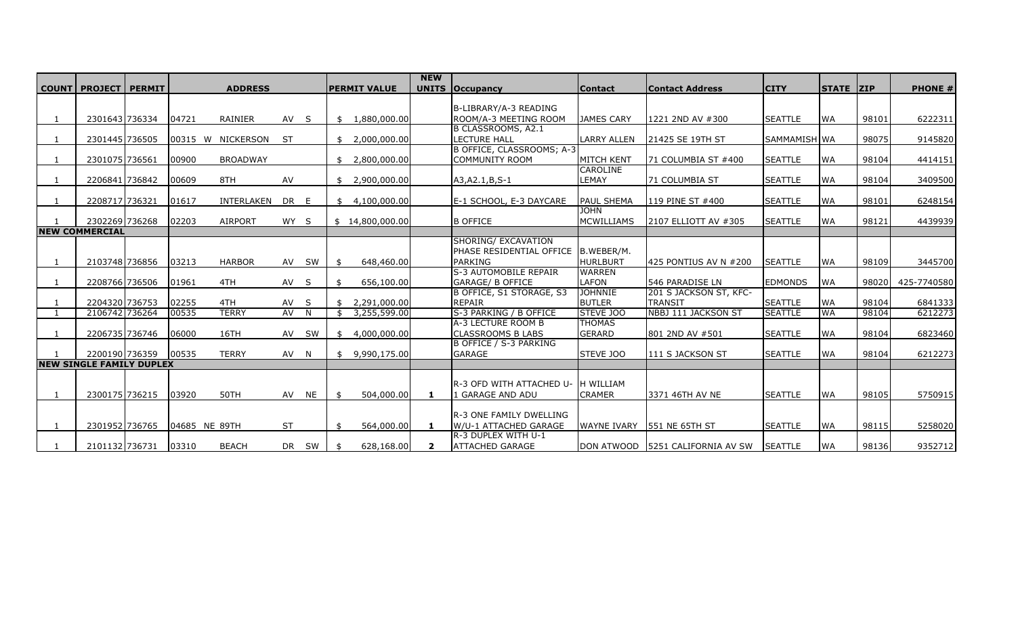|              |                                 |               |                   |           |              |      |                     | <b>NEW</b>   |                                              |                            |                            |                |                  |       |                |
|--------------|---------------------------------|---------------|-------------------|-----------|--------------|------|---------------------|--------------|----------------------------------------------|----------------------------|----------------------------|----------------|------------------|-------|----------------|
| <b>COUNT</b> | <b>PROJECT   PERMIT</b>         |               | <b>ADDRESS</b>    |           |              |      | <b>PERMIT VALUE</b> | <b>UNITS</b> | <b>Occupancy</b>                             | <b>Contact</b>             | <b>Contact Address</b>     | <b>CITY</b>    | <b>STATE ZIP</b> |       | <b>PHONE #</b> |
|              |                                 |               |                   |           |              |      |                     |              |                                              |                            |                            |                |                  |       |                |
|              |                                 |               |                   |           |              |      |                     |              | B-LIBRARY/A-3 READING                        |                            |                            |                |                  |       |                |
|              | 2301643 736334                  | 04721         | RAINIER           | AV S      |              | \$   | 1,880,000.00        |              | ROOM/A-3 MEETING ROOM                        | <b>JAMES CARY</b>          | 1221 2ND AV #300           | <b>SEATTLE</b> | <b>WA</b>        | 98101 | 6222311        |
|              | 2301445 736505                  |               | 00315 W NICKERSON | -ST       |              | \$   | 2,000,000.00        |              | B CLASSROOMS, A2.1<br><b>LECTURE HALL</b>    |                            | 21425 SE 19TH ST           |                |                  | 98075 |                |
|              |                                 |               |                   |           |              |      |                     |              | B OFFICE, CLASSROOMS; A-3                    | <b>LARRY ALLEN</b>         |                            | SAMMAMISH WA   |                  |       | 9145820        |
| -1           | 2301075 736561                  | 00900         | <b>BROADWAY</b>   |           |              | \$   | 2,800,000.00        |              | <b>COMMUNITY ROOM</b>                        | <b>MITCH KENT</b>          | 71 COLUMBIA ST #400        | <b>SEATTLE</b> | <b>WA</b>        | 98104 | 4414151        |
|              |                                 |               |                   |           |              |      |                     |              |                                              | CAROLINE                   |                            |                |                  |       |                |
| -1           | 2206841 736842                  | 00609         | 8TH               | AV        |              | . \$ | 2,900,000.00        |              | A3, A2. 1, B, S-1                            | LEMAY                      | <b>71 COLUMBIA ST</b>      | <b>SEATTLE</b> | <b>WA</b>        | 98104 | 3409500        |
|              |                                 |               |                   |           |              |      |                     |              |                                              |                            |                            |                |                  |       |                |
|              | 2208717 736321                  | 01617         | INTERLAKEN        | DR        | E.           | \$   | 4,100,000.00        |              | E-1 SCHOOL, E-3 DAYCARE                      | <b>PAUL SHEMA</b>          | 119 PINE ST #400           | <b>SEATTLE</b> | <b>WA</b>        | 98101 | 6248154        |
|              |                                 |               |                   |           |              |      |                     |              |                                              | <b>JOHN</b>                |                            |                |                  |       |                |
|              | 2302269 736268                  | 02203         | <b>AIRPORT</b>    | WY S      |              |      | \$14,800,000.00     |              | <b>B OFFICE</b>                              | <b>MCWILLIAMS</b>          | 2107 ELLIOTT AV #305       | <b>SEATTLE</b> | <b>WA</b>        | 98121 | 4439939        |
|              | <b>NEW COMMERCIAL</b>           |               |                   |           |              |      |                     |              |                                              |                            |                            |                |                  |       |                |
|              |                                 |               |                   |           |              |      |                     |              | SHORING/ EXCAVATION                          |                            |                            |                |                  |       |                |
|              |                                 |               |                   |           |              |      |                     |              | PHASE RESIDENTIAL OFFICE   B.WEBER/M.        |                            |                            |                |                  |       |                |
|              | 2103748 736856                  | 03213         | <b>HARBOR</b>     |           | AV SW        |      | 648,460.00          |              | <b>PARKING</b>                               | <b>HURLBURT</b>            | 425 PONTIUS AV N #200      | <b>SEATTLE</b> | <b>WA</b>        | 98109 | 3445700        |
|              |                                 |               |                   |           |              |      |                     |              | S-3 AUTOMOBILE REPAIR                        | <b>WARREN</b>              |                            |                |                  |       |                |
|              | 2208766 736506                  | 01961         | 4TH               | AV S      |              |      | 656,100.00          |              | <b>GARAGE/ B OFFICE</b>                      | <b>LAFON</b>               | 546 PARADISE LN            | <b>EDMONDS</b> | <b>WA</b>        | 98020 | 425-7740580    |
|              |                                 |               |                   |           |              |      |                     |              | B OFFICE, S1 STORAGE, S3                     | <b>JOHNNIE</b>             | 201 S JACKSON ST, KFC-     |                |                  |       |                |
| -1           | 2204320 736753                  | 02255         | 4TH               | AV        | <sub>S</sub> | \$   | 2,291,000.00        |              | <b>REPAIR</b>                                | <b>BUTLER</b>              | <b>TRANSIT</b>             | <b>SEATTLE</b> | <b>WA</b>        | 98104 | 6841333        |
|              | 2106742 736264                  | 00535         | <b>TERRY</b>      | AV        | N            | \$   | 3,255,599.00        |              | S-3 PARKING / B OFFICE<br>A-3 LECTURE ROOM B | STEVE JOO<br><b>THOMAS</b> | <b>NBBJ 111 JACKSON ST</b> | <b>SEATTLE</b> | <b>WA</b>        | 98104 | 6212273        |
|              | 2206735 736746                  | 06000         | 16TH              | AV        | SW           |      | 4,000,000.00        |              | <b>CLASSROOMS B LABS</b>                     | <b>GERARD</b>              | 801 2ND AV #501            | <b>SEATTLE</b> | <b>WA</b>        | 98104 | 6823460        |
|              |                                 |               |                   |           |              | \$   |                     |              | B OFFICE / S-3 PARKING                       |                            |                            |                |                  |       |                |
|              | 2200190 736359                  | 00535         | <b>TERRY</b>      | AV N      |              | \$   | 9,990,175.00        |              | <b>GARAGE</b>                                | STEVE JOO                  | 111 S JACKSON ST           | <b>SEATTLE</b> | <b>WA</b>        | 98104 | 6212273        |
|              | <b>NEW SINGLE FAMILY DUPLEX</b> |               |                   |           |              |      |                     |              |                                              |                            |                            |                |                  |       |                |
|              |                                 |               |                   |           |              |      |                     |              |                                              |                            |                            |                |                  |       |                |
|              |                                 |               |                   |           |              |      |                     |              | R-3 OFD WITH ATTACHED U- IH WILLIAM          |                            |                            |                |                  |       |                |
|              | 2300175 736215                  | 03920         | 50TH              | AV NE     |              | . ፍ  | 504,000.00          | $\mathbf{1}$ | L GARAGE AND ADU                             | <b>CRAMER</b>              | 3371 46TH AV NE            | <b>SEATTLE</b> | <b>WA</b>        | 98105 | 5750915        |
|              |                                 |               |                   |           |              |      |                     |              |                                              |                            |                            |                |                  |       |                |
|              |                                 |               |                   |           |              |      |                     |              | <b>R-3 ONE FAMILY DWELLING</b>               |                            |                            |                |                  |       |                |
|              | 2301952 736765                  | 04685 NE 89TH |                   | <b>ST</b> |              | \$   | 564,000.00          | $\mathbf{1}$ | W/U-1 ATTACHED GARAGE                        | <b>WAYNE IVARY</b>         | <b>551 NE 65TH ST</b>      | <b>SEATTLE</b> | <b>WA</b>        | 98115 | 5258020        |
|              |                                 |               |                   |           |              |      |                     |              | R-3 DUPLEX WITH U-1                          |                            |                            |                |                  |       |                |
|              | 2101132 736731                  | 03310         | <b>BEACH</b>      |           | DR SW        |      | 628,168.00          | $\mathbf{2}$ | <b>ATTACHED GARAGE</b>                       | <b>DON ATWOOD</b>          | 5251 CALIFORNIA AV SW      | <b>SEATTLE</b> | <b>WA</b>        | 98136 | 9352712        |